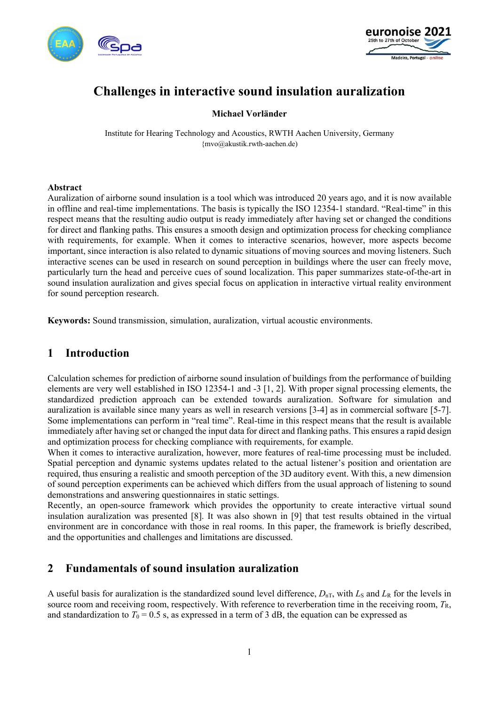



# **Challenges in interactive sound insulation auralization**

#### **Michael Vorländer**

Institute for Hearing Technology and Acoustics, RWTH Aachen University, Germany {mvo@akustik.rwth-aachen.de)

#### **Abstract**

Auralization of airborne sound insulation is a tool which was introduced 20 years ago, and it is now available in offline and real-time implementations. The basis is typically the ISO 12354-1 standard. "Real-time" in this respect means that the resulting audio output is ready immediately after having set or changed the conditions for direct and flanking paths. This ensures a smooth design and optimization process for checking compliance with requirements, for example. When it comes to interactive scenarios, however, more aspects become important, since interaction is also related to dynamic situations of moving sources and moving listeners. Such interactive scenes can be used in research on sound perception in buildings where the user can freely move, particularly turn the head and perceive cues of sound localization. This paper summarizes state-of-the-art in sound insulation auralization and gives special focus on application in interactive virtual reality environment for sound perception research.

**Keywords:** Sound transmission, simulation, auralization, virtual acoustic environments.

## **1 Introduction**

Calculation schemes for prediction of airborne sound insulation of buildings from the performance of building elements are very well established in ISO 12354-1 and -3 [1, 2]. With proper signal processing elements, the standardized prediction approach can be extended towards auralization. Software for simulation and auralization is available since many years as well in research versions [3-4] as in commercial software [5-7]. Some implementations can perform in "real time". Real-time in this respect means that the result is available immediately after having set or changed the input data for direct and flanking paths. This ensures a rapid design and optimization process for checking compliance with requirements, for example.

When it comes to interactive auralization, however, more features of real-time processing must be included. Spatial perception and dynamic systems updates related to the actual listener's position and orientation are required, thus ensuring a realistic and smooth perception of the 3D auditory event. With this, a new dimension of sound perception experiments can be achieved which differs from the usual approach of listening to sound demonstrations and answering questionnaires in static settings.

Recently, an open-source framework which provides the opportunity to create interactive virtual sound insulation auralization was presented [8]. It was also shown in [9] that test results obtained in the virtual environment are in concordance with those in real rooms. In this paper, the framework is briefly described, and the opportunities and challenges and limitations are discussed.

### **2 Fundamentals of sound insulation auralization**

A useful basis for auralization is the standardized sound level difference,  $D_{nT}$ , with  $L_S$  and  $L_R$  for the levels in source room and receiving room, respectively. With reference to reverberation time in the receiving room,  $T_R$ , and standardization to  $T_0 = 0.5$  s, as expressed in a term of 3 dB, the equation can be expressed as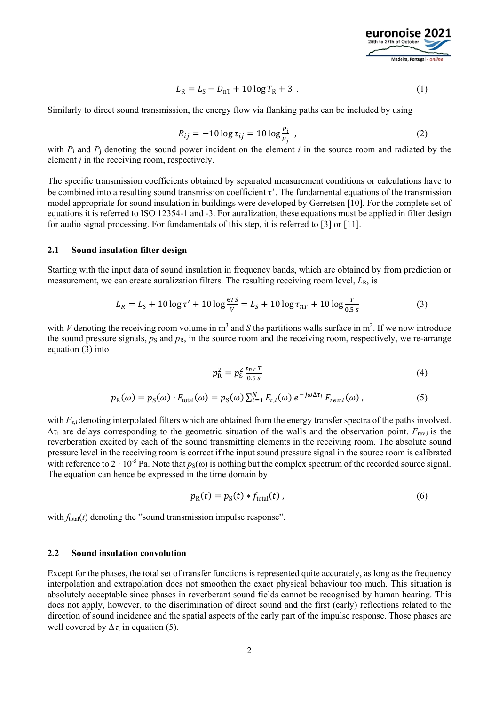

$$
L_{\rm R} = L_{\rm S} - D_{\rm nT} + 10 \log T_{\rm R} + 3 \tag{1}
$$

Similarly to direct sound transmission, the energy flow via flanking paths can be included by using

$$
R_{ij} = -10 \log \tau_{ij} = 10 \log \frac{P_i}{P_j} \tag{2}
$$

with  $P_i$  and  $P_j$  denoting the sound power incident on the element *i* in the source room and radiated by the element *j* in the receiving room, respectively.

The specific transmission coefficients obtained by separated measurement conditions or calculations have to be combined into a resulting sound transmission coefficient  $\tau$ . The fundamental equations of the transmission model appropriate for sound insulation in buildings were developed by Gerretsen [10]. For the complete set of equations it is referred to ISO 12354-1 and -3. For auralization, these equations must be applied in filter design for audio signal processing. For fundamentals of this step, it is referred to [3] or [11].

#### **2.1 Sound insulation filter design**

Starting with the input data of sound insulation in frequency bands, which are obtained by from prediction or measurement, we can create auralization filters. The resulting receiving room level,  $L<sub>R</sub>$ , is

$$
L_R = L_S + 10 \log \tau' + 10 \log \frac{6 \tau S}{V} = L_S + 10 \log \tau_{nT} + 10 \log \frac{T}{0.5 s}
$$
 (3)

with *V* denoting the receiving room volume in  $m^3$  and *S* the partitions walls surface in  $m^2$ . If we now introduce the sound pressure signals,  $p_S$  and  $p_R$ , in the source room and the receiving room, respectively, we re-arrange equation (3) into

$$
p_R^2 = p_S^2 \frac{\tau_{nT} T}{0.5 s} \tag{4}
$$

$$
p_{R}(\omega) = p_{S}(\omega) \cdot F_{\text{total}}(\omega) = p_{S}(\omega) \sum_{i=1}^{N} F_{\tau,i}(\omega) e^{-j\omega \Delta \tau_{i}} F_{rev,i}(\omega), \qquad (5)
$$

with  $F_{\rm ti}$  denoting interpolated filters which are obtained from the energy transfer spectra of the paths involved.  $\Delta \tau_i$  are delays corresponding to the geometric situation of the walls and the observation point.  $F_{rev,i}$  is the reverberation excited by each of the sound transmitting elements in the receiving room. The absolute sound pressure level in the receiving room is correct if the input sound pressure signal in the source room is calibrated with reference to  $2 \cdot 10^{-5}$  Pa. Note that  $p_s(\omega)$  is nothing but the complex spectrum of the recorded source signal. The equation can hence be expressed in the time domain by

$$
p_{R}(t) = p_{S}(t) * f_{total}(t) , \qquad (6)
$$

with  $f_{total}(t)$  denoting the "sound transmission impulse response".

#### **2.2 Sound insulation convolution**

Except for the phases, the total set of transfer functions is represented quite accurately, as long as the frequency interpolation and extrapolation does not smoothen the exact physical behaviour too much. This situation is absolutely acceptable since phases in reverberant sound fields cannot be recognised by human hearing. This does not apply, however, to the discrimination of direct sound and the first (early) reflections related to the direction of sound incidence and the spatial aspects of the early part of the impulse response. Those phases are well covered by  $\Delta \tau_i$  in equation (5).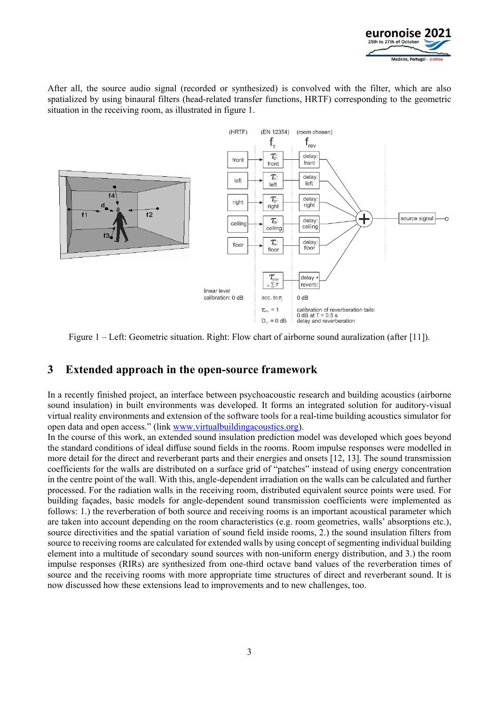

After all, the source audio signal (recorded or synthesized) is convolved with the filter, which are also spatialized by using binaural filters (head-related transfer functions, HRTF) corresponding to the geometric situation in the receiving room, as illustrated in figure 1.



Figure 1 – Left: Geometric situation. Right: Flow chart of airborne sound auralization (after [11]).

# **3 Extended approach in the open-source framework**

In a recently finished project, an interface between psychoacoustic research and building acoustics (airborne sound insulation) in built environments was developed. It forms an integrated solution for auditory-visual virtual reality environments and extension of the software tools for a real-time building acoustics simulator for open data and open access." (link www.virtualbuildingacoustics.org).

In the course of this work, an extended sound insulation prediction model was developed which goes beyond the standard conditions of ideal diffuse sound fields in the rooms. Room impulse responses were modelled in more detail for the direct and reverberant parts and their energies and onsets [12, 13]. The sound transmission coefficients for the walls are distributed on a surface grid of "patches" instead of using energy concentration in the centre point of the wall. With this, angle-dependent irradiation on the walls can be calculated and further processed. For the radiation walls in the receiving room, distributed equivalent source points were used. For building façades, basic models for angle-dependent sound transmission coefficients were implemented as follows: 1.) the reverberation of both source and receiving rooms is an important acoustical parameter which are taken into account depending on the room characteristics (e.g. room geometries, walls' absorptions etc.), source directivities and the spatial variation of sound field inside rooms, 2.) the sound insulation filters from source to receiving rooms are calculated for extended walls by using concept of segmenting individual building element into a multitude of secondary sound sources with non-uniform energy distribution, and 3.) the room impulse responses (RIRs) are synthesized from one-third octave band values of the reverberation times of source and the receiving rooms with more appropriate time structures of direct and reverberant sound. It is now discussed how these extensions lead to improvements and to new challenges, too.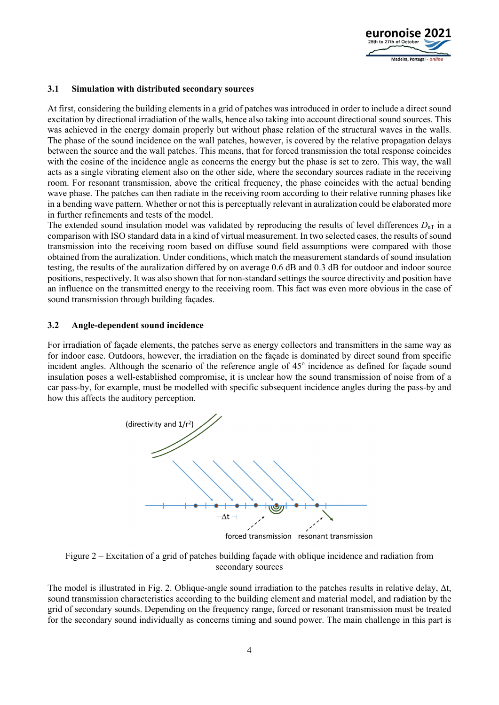

#### **3.1 Simulation with distributed secondary sources**

At first, considering the building elements in a grid of patches was introduced in order to include a direct sound excitation by directional irradiation of the walls, hence also taking into account directional sound sources. This was achieved in the energy domain properly but without phase relation of the structural waves in the walls. The phase of the sound incidence on the wall patches, however, is covered by the relative propagation delays between the source and the wall patches. This means, that for forced transmission the total response coincides with the cosine of the incidence angle as concerns the energy but the phase is set to zero. This way, the wall acts as a single vibrating element also on the other side, where the secondary sources radiate in the receiving room. For resonant transmission, above the critical frequency, the phase coincides with the actual bending wave phase. The patches can then radiate in the receiving room according to their relative running phases like in a bending wave pattern. Whether or not this is perceptually relevant in auralization could be elaborated more in further refinements and tests of the model.

The extended sound insulation model was validated by reproducing the results of level differences  $D_{nT}$  in a comparison with ISO standard data in a kind of virtual measurement. In two selected cases, the results of sound transmission into the receiving room based on diffuse sound field assumptions were compared with those obtained from the auralization. Under conditions, which match the measurement standards of sound insulation testing, the results of the auralization differed by on average 0.6 dB and 0.3 dB for outdoor and indoor source positions, respectively. It was also shown that for non-standard settings the source directivity and position have an influence on the transmitted energy to the receiving room. This fact was even more obvious in the case of sound transmission through building façades.

#### **3.2 Angle-dependent sound incidence**

For irradiation of façade elements, the patches serve as energy collectors and transmitters in the same way as for indoor case. Outdoors, however, the irradiation on the façade is dominated by direct sound from specific incident angles. Although the scenario of the reference angle of 45° incidence as defined for façade sound insulation poses a well-established compromise, it is unclear how the sound transmission of noise from of a car pass-by, for example, must be modelled with specific subsequent incidence angles during the pass-by and how this affects the auditory perception.



Figure 2 – Excitation of a grid of patches building façade with oblique incidence and radiation from secondary sources

The model is illustrated in Fig. 2. Oblique-angle sound irradiation to the patches results in relative delay,  $\Delta t$ , sound transmission characteristics according to the building element and material model, and radiation by the grid of secondary sounds. Depending on the frequency range, forced or resonant transmission must be treated for the secondary sound individually as concerns timing and sound power. The main challenge in this part is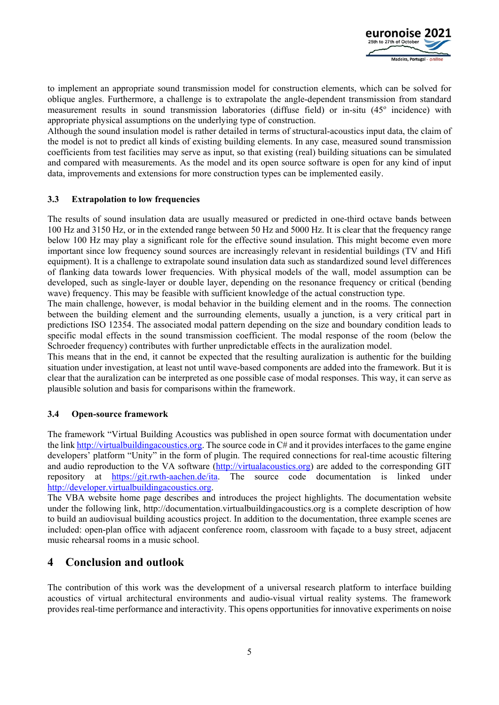

to implement an appropriate sound transmission model for construction elements, which can be solved for oblique angles. Furthermore, a challenge is to extrapolate the angle-dependent transmission from standard measurement results in sound transmission laboratories (diffuse field) or in-situ (45° incidence) with appropriate physical assumptions on the underlying type of construction.

Although the sound insulation model is rather detailed in terms of structural-acoustics input data, the claim of the model is not to predict all kinds of existing building elements. In any case, measured sound transmission coefficients from test facilities may serve as input, so that existing (real) building situations can be simulated and compared with measurements. As the model and its open source software is open for any kind of input data, improvements and extensions for more construction types can be implemented easily.

#### **3.3 Extrapolation to low frequencies**

The results of sound insulation data are usually measured or predicted in one-third octave bands between 100 Hz and 3150 Hz, or in the extended range between 50 Hz and 5000 Hz. It is clear that the frequency range below 100 Hz may play a significant role for the effective sound insulation. This might become even more important since low frequency sound sources are increasingly relevant in residential buildings (TV and Hifi equipment). It is a challenge to extrapolate sound insulation data such as standardized sound level differences of flanking data towards lower frequencies. With physical models of the wall, model assumption can be developed, such as single-layer or double layer, depending on the resonance frequency or critical (bending wave) frequency. This may be feasible with sufficient knowledge of the actual construction type.

The main challenge, however, is modal behavior in the building element and in the rooms. The connection between the building element and the surrounding elements, usually a junction, is a very critical part in predictions ISO 12354. The associated modal pattern depending on the size and boundary condition leads to specific modal effects in the sound transmission coefficient. The modal response of the room (below the Schroeder frequency) contributes with further unpredictable effects in the auralization model.

This means that in the end, it cannot be expected that the resulting auralization is authentic for the building situation under investigation, at least not until wave-based components are added into the framework. But it is clear that the auralization can be interpreted as one possible case of modal responses. This way, it can serve as plausible solution and basis for comparisons within the framework.

### **3.4 Open-source framework**

The framework "Virtual Building Acoustics was published in open source format with documentation under the link http://virtualbuildingacoustics.org. The source code in  $C\#$  and it provides interfaces to the game engine developers' platform "Unity" in the form of plugin. The required connections for real-time acoustic filtering and audio reproduction to the VA software (http://virtualacoustics.org) are added to the corresponding GIT repository at https://git.rwth-aachen.de/ita. The source code documentation is linked under http://developer.virtualbuildingacoustics.org.

The VBA website home page describes and introduces the project highlights. The documentation website under the following link, http://documentation.virtualbuildingacoustics.org is a complete description of how to build an audiovisual building acoustics project. In addition to the documentation, three example scenes are included: open-plan office with adjacent conference room, classroom with façade to a busy street, adjacent music rehearsal rooms in a music school.

# **4 Conclusion and outlook**

The contribution of this work was the development of a universal research platform to interface building acoustics of virtual architectural environments and audio-visual virtual reality systems. The framework provides real-time performance and interactivity. This opens opportunities for innovative experiments on noise